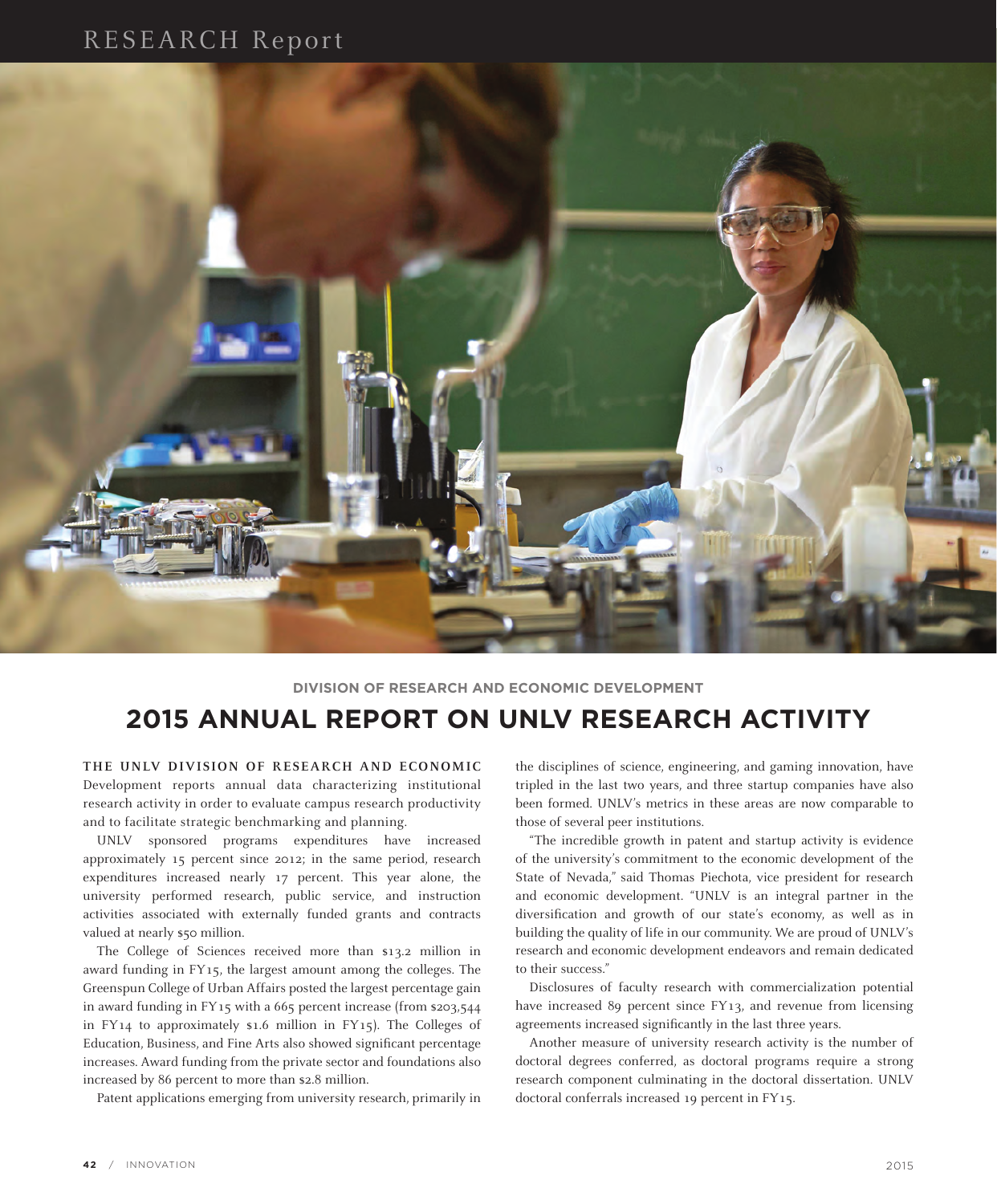# RESEARCH Report



## **DIVISION OF RESEARCH AND ECONOMIC DEVELOPMENT 2015 ANNUAL REPORT ON UNLV RESEARCH ACTIVITY**

**THE UNLV DIVISION OF RESEARCH AND ECONOMIC** Development reports annual data characterizing institutional research activity in order to evaluate campus research productivity and to facilitate strategic benchmarking and planning.

UNLV sponsored programs expenditures have increased approximately 15 percent since 2012; in the same period, research expenditures increased nearly 17 percent. This year alone, the university performed research, public service, and instruction activities associated with externally funded grants and contracts valued at nearly \$50 million.

The College of Sciences received more than \$13.2 million in award funding in FY15, the largest amount among the colleges. The Greenspun College of Urban Affairs posted the largest percentage gain in award funding in FY15 with a 665 percent increase (from \$203,544 in FY14 to approximately \$1.6 million in FY15). The Colleges of Education, Business, and Fine Arts also showed significant percentage increases. Award funding from the private sector and foundations also increased by 86 percent to more than \$2.8 million.

Patent applications emerging from university research, primarily in

the disciplines of science, engineering, and gaming innovation, have tripled in the last two years, and three startup companies have also been formed. UNLV's metrics in these areas are now comparable to those of several peer institutions.

"The incredible growth in patent and startup activity is evidence of the university's commitment to the economic development of the State of Nevada," said Thomas Piechota, vice president for research and economic development. "UNLV is an integral partner in the diversification and growth of our state's economy, as well as in building the quality of life in our community. We are proud of UNLV's research and economic development endeavors and remain dedicated to their success."

Disclosures of faculty research with commercialization potential have increased 89 percent since FY13, and revenue from licensing agreements increased significantly in the last three years.

Another measure of university research activity is the number of doctoral degrees conferred, as doctoral programs require a strong research component culminating in the doctoral dissertation. UNLV doctoral conferrals increased 19 percent in FY15.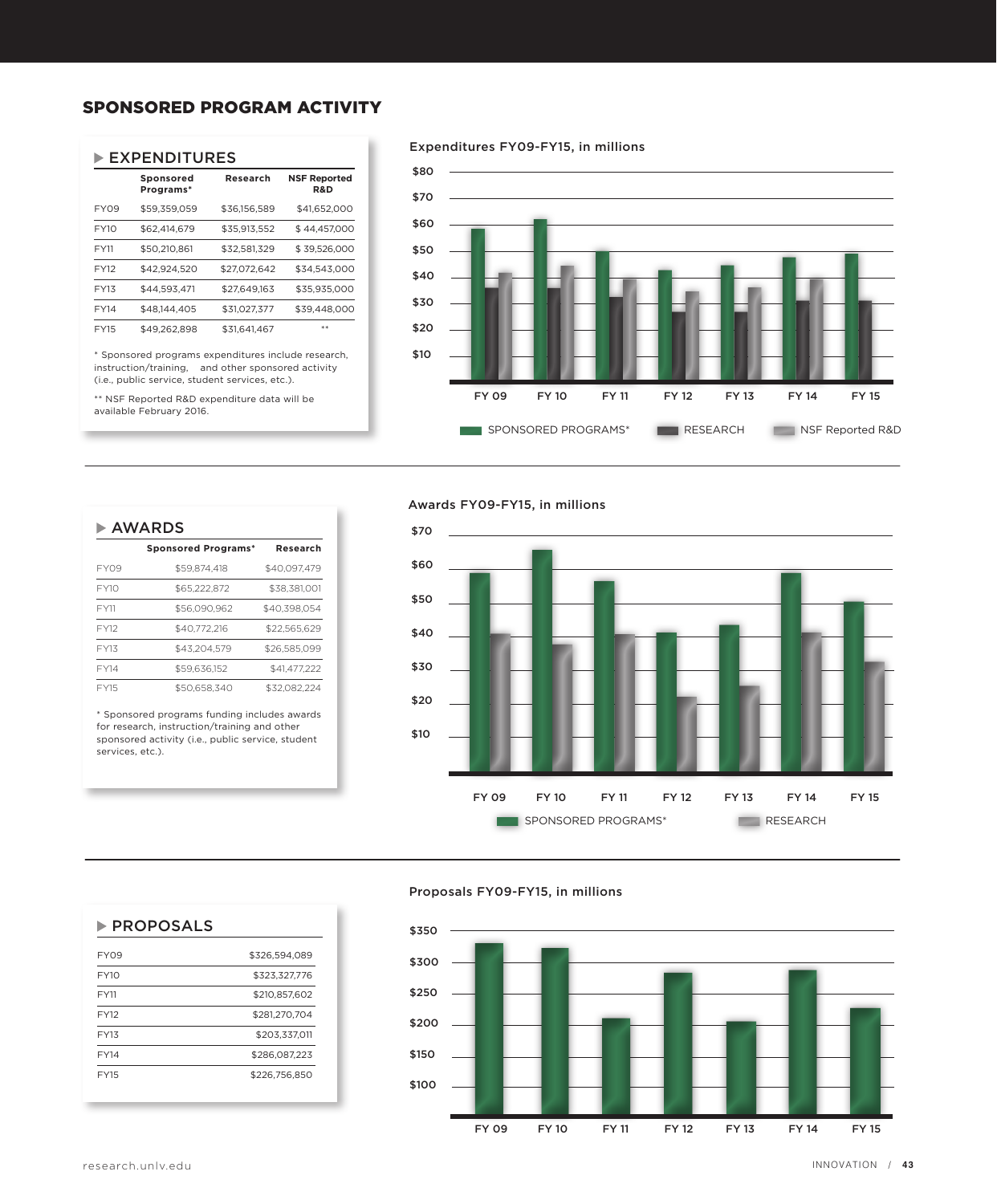### SPONSORED PROGRAM ACTIVITY

#### EXPENDITURES

|             | Sponsored<br>Programs* | Research     | <b>NSF Reported</b><br><b>R&amp;D</b> |
|-------------|------------------------|--------------|---------------------------------------|
| <b>FY09</b> | \$59,359,059           | \$36,156,589 | \$41,652,000                          |
| FY10        | \$62,414,679           | \$35,913,552 | \$44,457,000                          |
| <b>FY11</b> | \$50,210,861           | \$32,581,329 | \$39,526,000                          |
| <b>FY12</b> | \$42.924.520           | \$27.072.642 | \$34.543.000                          |
| FY13        | \$44.593.471           | \$27.649.163 | \$35,935,000                          |
| <b>FY14</b> | \$48,144,405           | \$31.027.377 | \$39,448,000                          |
| <b>FY15</b> | \$49,262,898           | \$31.641.467 | **                                    |

\* Sponsored programs expenditures include research, instruction/training, and other sponsored activity (i.e., public service, student services, etc.).

\*\* NSF Reported R&D expenditure data will be available February 2016.

#### Expenditures FY09-FY15, in millions



#### Awards FY09-FY15, in millions



#### Proposals FY09-FY15, in millions



## **Sponsored Programs\* Research** FY09 \$59,874,418 \$40,097,479 FY10 \$65,222,872 \$38,381,001 FY11 \$56,090,962 \$40,398,054 FY12 \$40,772,216 \$22,565,629 FY13 \$43,204,579 \$26,585,099 FY14 \$59,636,152 \$41,477,222 FY15 \$50,658,340 \$32,082,224

AWARDS

\* Sponsored programs funding includes awards for research, instruction/training and other sponsored activity (i.e., public service, student services, etc.).

FY09 \$326,594,089 FY10 \$323,327,776 FY11 \$210,857,602 FY12 \$281,270,704 FY13 \$203,337,011 FY14 \$286,087,223 FY15 \$226,756,850

 $\blacktriangleright$  PROPOSALS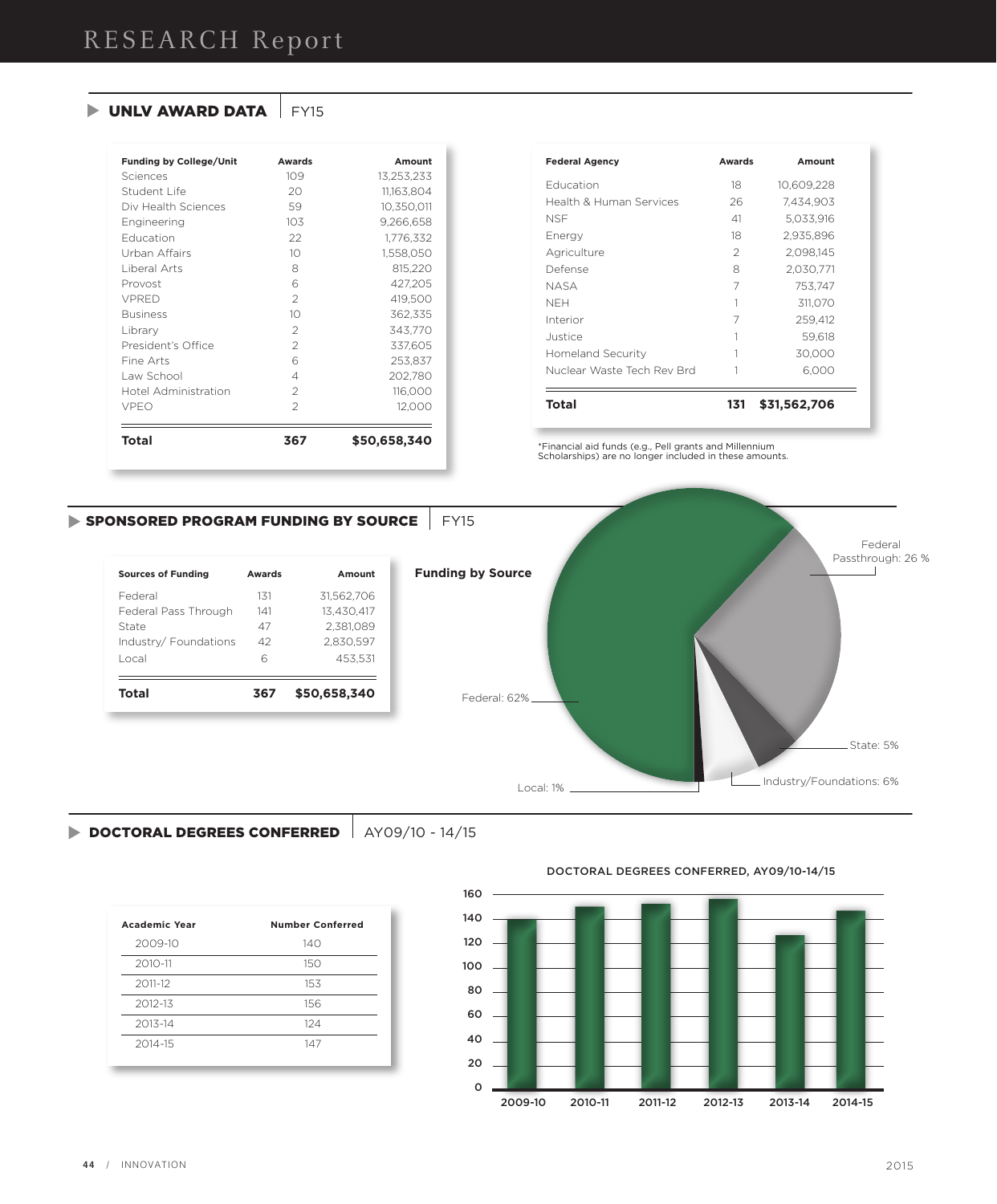### $\triangleright$  UNLV AWARD DATA  $\vert$  FY15

| <b>Funding by College/Unit</b> | <b>Awards</b>  | Amount       |
|--------------------------------|----------------|--------------|
| Sciences                       | 109            | 13,253,233   |
| Student Life                   | 20             | 11,163,804   |
| Div Health Sciences            | 59             | 10,350,011   |
| Engineering                    | 103            | 9,266,658    |
| <b>Education</b>               | 22             | 1,776,332    |
| Urban Affairs                  | 10             | 1,558,050    |
| Liberal Arts                   | 8              | 815,220      |
| Provost                        | 6              | 427,205      |
| VPRFD                          | $\overline{2}$ | 419,500      |
| <b>Business</b>                | 10             | 362,335      |
| Library                        | $\overline{2}$ | 343,770      |
| President's Office             | $\mathcal{P}$  | 337,605      |
| Fine Arts                      | 6              | 253,837      |
| Law School                     | 4              | 202,780      |
| Hotel Administration           | $\mathcal{P}$  | 116,000      |
| <b>VPEO</b>                    | $\mathcal{P}$  | 12,000       |
| <b>Total</b>                   | 367            | \$50,658,340 |

| <b>Federal Agency</b>      | <b>Awards</b> | Amount       |
|----------------------------|---------------|--------------|
| <b>Education</b>           | 18            | 10.609.228   |
| Health & Human Services    | 26            | 7.434.903    |
| NSF                        | 41            | 5.033.916    |
| Energy                     | 18            | 2,935,896    |
| Agriculture                | $\mathcal{P}$ | 2.098.145    |
| Defense                    | 8             | 2,030,771    |
| NASA                       | 7             | 753.747      |
| NFH                        | 1             | 311.070      |
| Interior                   | 7             | 259,412      |
| Justice                    |               | 59.618       |
| Homeland Security          |               | 30,000       |
| Nuclear Waste Tech Rev Brd |               | 6,000        |
| Total                      | 131           | \$31,562,706 |

\*Financial aid funds (e.g., Pell grants and Millennium Scholarships) are no longer included in these amounts.

### SPONSORED PROGRAM FUNDING BY SOURCE FY15

| Awards | Amount       |
|--------|--------------|
| 131    | 31.562.706   |
| 141    | 13.430.417   |
| 47     | 2.381.089    |
| 42     | 2.830.597    |
| 6      | 453.531      |
| 367    | \$50,658,340 |
|        |              |



### DOCTORAL DEGREES CONFERRED | AY09/10 - 14/15

| <b>Academic Year</b> | <b>Number Conferred</b> |
|----------------------|-------------------------|
| 2009-10              | 140                     |
| 2010-11              | 150                     |
| 2011-12              | 153                     |
| 2012-13              | 156                     |
| 2013-14              | 124                     |
| 2014-15              | 147                     |
|                      |                         |

DOCTORAL DEGREES CONFERRED, AY09/10-14/15